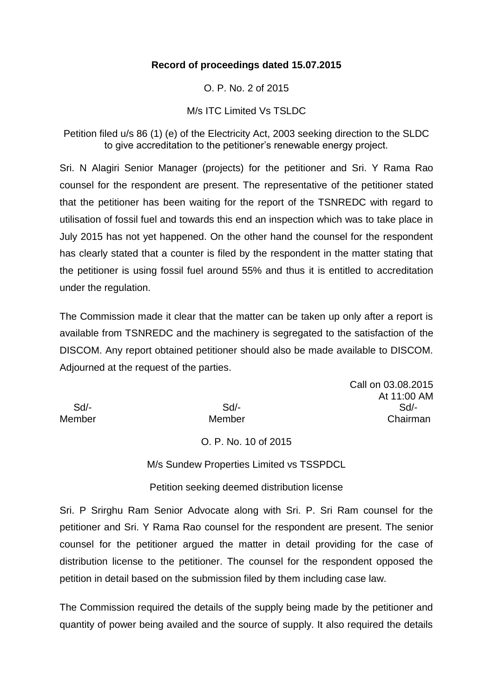#### **Record of proceedings dated 15.07.2015**

O. P. No. 2 of 2015

#### M/s ITC Limited Vs TSLDC

Petition filed u/s 86 (1) (e) of the Electricity Act, 2003 seeking direction to the SLDC to give accreditation to the petitioner's renewable energy project.

Sri. N Alagiri Senior Manager (projects) for the petitioner and Sri. Y Rama Rao counsel for the respondent are present. The representative of the petitioner stated that the petitioner has been waiting for the report of the TSNREDC with regard to utilisation of fossil fuel and towards this end an inspection which was to take place in July 2015 has not yet happened. On the other hand the counsel for the respondent has clearly stated that a counter is filed by the respondent in the matter stating that the petitioner is using fossil fuel around 55% and thus it is entitled to accreditation under the regulation.

The Commission made it clear that the matter can be taken up only after a report is available from TSNREDC and the machinery is segregated to the satisfaction of the DISCOM. Any report obtained petitioner should also be made available to DISCOM. Adjourned at the request of the parties.

Call on 03.08.2015 At 11:00 AM Sd/- Sd/- Sd/- Member Member Chairman

#### O. P. No. 10 of 2015

M/s Sundew Properties Limited vs TSSPDCL

Petition seeking deemed distribution license

Sri. P Srirghu Ram Senior Advocate along with Sri. P. Sri Ram counsel for the petitioner and Sri. Y Rama Rao counsel for the respondent are present. The senior counsel for the petitioner argued the matter in detail providing for the case of distribution license to the petitioner. The counsel for the respondent opposed the petition in detail based on the submission filed by them including case law.

The Commission required the details of the supply being made by the petitioner and quantity of power being availed and the source of supply. It also required the details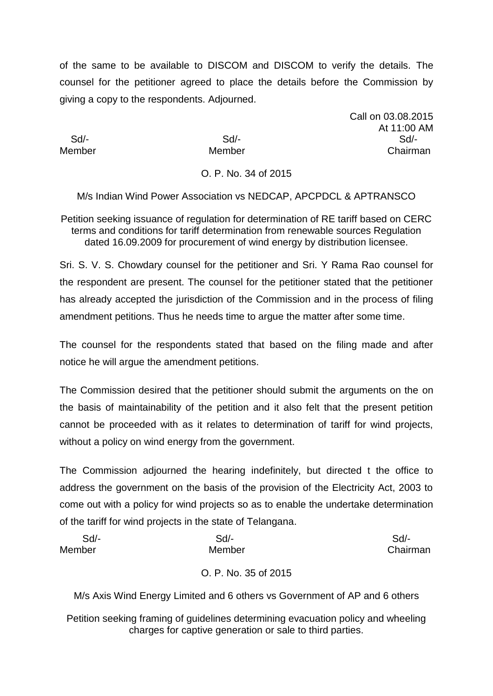of the same to be available to DISCOM and DISCOM to verify the details. The counsel for the petitioner agreed to place the details before the Commission by giving a copy to the respondents. Adjourned.

Call on 03.08.2015 At 11:00 AM Sd/- Sd/- Sd/- Member Member Chairman

# O. P. No. 34 of 2015

M/s Indian Wind Power Association vs NEDCAP, APCPDCL & APTRANSCO

Petition seeking issuance of regulation for determination of RE tariff based on CERC terms and conditions for tariff determination from renewable sources Regulation dated 16.09.2009 for procurement of wind energy by distribution licensee.

Sri. S. V. S. Chowdary counsel for the petitioner and Sri. Y Rama Rao counsel for the respondent are present. The counsel for the petitioner stated that the petitioner has already accepted the jurisdiction of the Commission and in the process of filing amendment petitions. Thus he needs time to argue the matter after some time.

The counsel for the respondents stated that based on the filing made and after notice he will argue the amendment petitions.

The Commission desired that the petitioner should submit the arguments on the on the basis of maintainability of the petition and it also felt that the present petition cannot be proceeded with as it relates to determination of tariff for wind projects, without a policy on wind energy from the government.

The Commission adjourned the hearing indefinitely, but directed t the office to address the government on the basis of the provision of the Electricity Act, 2003 to come out with a policy for wind projects so as to enable the undertake determination of the tariff for wind projects in the state of Telangana.

| Sd/-   | Sd/-   | Sd/-     |
|--------|--------|----------|
| Member | Member | Chairman |

# O. P. No. 35 of 2015

M/s Axis Wind Energy Limited and 6 others vs Government of AP and 6 others

Petition seeking framing of guidelines determining evacuation policy and wheeling charges for captive generation or sale to third parties.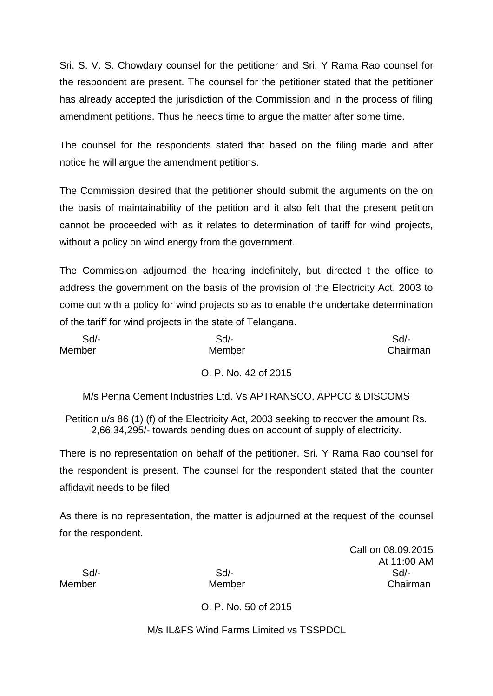Sri. S. V. S. Chowdary counsel for the petitioner and Sri. Y Rama Rao counsel for the respondent are present. The counsel for the petitioner stated that the petitioner has already accepted the jurisdiction of the Commission and in the process of filing amendment petitions. Thus he needs time to argue the matter after some time.

The counsel for the respondents stated that based on the filing made and after notice he will argue the amendment petitions.

The Commission desired that the petitioner should submit the arguments on the on the basis of maintainability of the petition and it also felt that the present petition cannot be proceeded with as it relates to determination of tariff for wind projects, without a policy on wind energy from the government.

The Commission adjourned the hearing indefinitely, but directed t the office to address the government on the basis of the provision of the Electricity Act, 2003 to come out with a policy for wind projects so as to enable the undertake determination of the tariff for wind projects in the state of Telangana.

| $Sd$ - | Sd/-   | $Sd$ -   |
|--------|--------|----------|
| Member | Member | Chairman |

# O. P. No. 42 of 2015

M/s Penna Cement Industries Ltd. Vs APTRANSCO, APPCC & DISCOMS

Petition u/s 86 (1) (f) of the Electricity Act, 2003 seeking to recover the amount Rs. 2,66,34,295/- towards pending dues on account of supply of electricity.

There is no representation on behalf of the petitioner. Sri. Y Rama Rao counsel for the respondent is present. The counsel for the respondent stated that the counter affidavit needs to be filed

As there is no representation, the matter is adjourned at the request of the counsel for the respondent.

Call on 08.09.2015 At 11:00 AM Sd/- Sd/- Sd/- Member Member Chairman

O. P. No. 50 of 2015

M/s IL & FS Wind Farms Limited vs TSSPDCL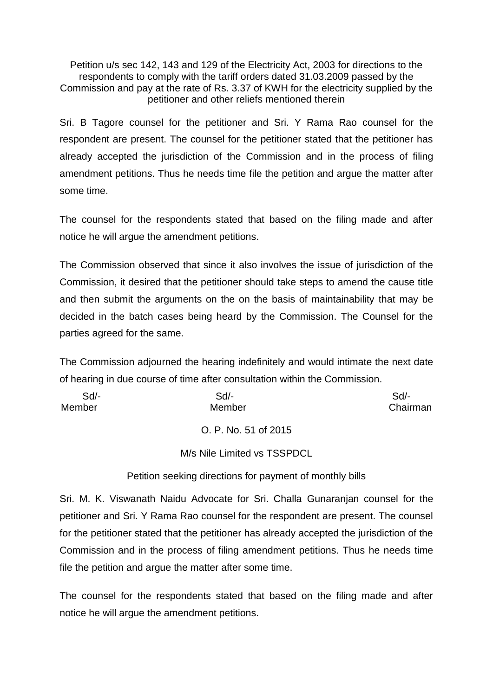Petition u/s sec 142, 143 and 129 of the Electricity Act, 2003 for directions to the respondents to comply with the tariff orders dated 31.03.2009 passed by the Commission and pay at the rate of Rs. 3.37 of KWH for the electricity supplied by the petitioner and other reliefs mentioned therein

Sri. B Tagore counsel for the petitioner and Sri. Y Rama Rao counsel for the respondent are present. The counsel for the petitioner stated that the petitioner has already accepted the jurisdiction of the Commission and in the process of filing amendment petitions. Thus he needs time file the petition and argue the matter after some time.

The counsel for the respondents stated that based on the filing made and after notice he will argue the amendment petitions.

The Commission observed that since it also involves the issue of jurisdiction of the Commission, it desired that the petitioner should take steps to amend the cause title and then submit the arguments on the on the basis of maintainability that may be decided in the batch cases being heard by the Commission. The Counsel for the parties agreed for the same.

The Commission adjourned the hearing indefinitely and would intimate the next date of hearing in due course of time after consultation within the Commission.

| $Sd$ - | $Sd$ -               | $Sd$ -   |
|--------|----------------------|----------|
| Member | Member               | Chairman |
|        | O. P. No. 51 of 2015 |          |

M/s Nile Limited vs TSSPDCL

Petition seeking directions for payment of monthly bills

Sri. M. K. Viswanath Naidu Advocate for Sri. Challa Gunaranjan counsel for the petitioner and Sri. Y Rama Rao counsel for the respondent are present. The counsel for the petitioner stated that the petitioner has already accepted the jurisdiction of the Commission and in the process of filing amendment petitions. Thus he needs time file the petition and argue the matter after some time.

The counsel for the respondents stated that based on the filing made and after notice he will argue the amendment petitions.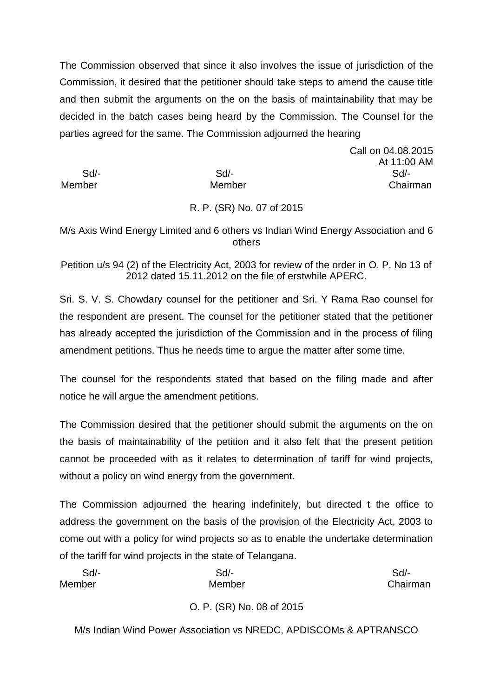The Commission observed that since it also involves the issue of jurisdiction of the Commission, it desired that the petitioner should take steps to amend the cause title and then submit the arguments on the on the basis of maintainability that may be decided in the batch cases being heard by the Commission. The Counsel for the parties agreed for the same. The Commission adjourned the hearing

Call on 04.08.2015 At 11:00 AM Sd/- Sd/- Sd/- Member Member Chairman

# R. P. (SR) No. 07 of 2015

M/s Axis Wind Energy Limited and 6 others vs Indian Wind Energy Association and 6 others

Petition u/s 94 (2) of the Electricity Act, 2003 for review of the order in O. P. No 13 of 2012 dated 15.11.2012 on the file of erstwhile APERC.

Sri. S. V. S. Chowdary counsel for the petitioner and Sri. Y Rama Rao counsel for the respondent are present. The counsel for the petitioner stated that the petitioner has already accepted the jurisdiction of the Commission and in the process of filing amendment petitions. Thus he needs time to argue the matter after some time.

The counsel for the respondents stated that based on the filing made and after notice he will argue the amendment petitions.

The Commission desired that the petitioner should submit the arguments on the on the basis of maintainability of the petition and it also felt that the present petition cannot be proceeded with as it relates to determination of tariff for wind projects, without a policy on wind energy from the government.

The Commission adjourned the hearing indefinitely, but directed t the office to address the government on the basis of the provision of the Electricity Act, 2003 to come out with a policy for wind projects so as to enable the undertake determination of the tariff for wind projects in the state of Telangana.

| Sd/-   | Sd/-   | Sd       |
|--------|--------|----------|
| Member | Member | Chairman |
|        |        |          |

# O. P. (SR) No. 08 of 2015

M/s Indian Wind Power Association vs NREDC, APDISCOMs & APTRANSCO